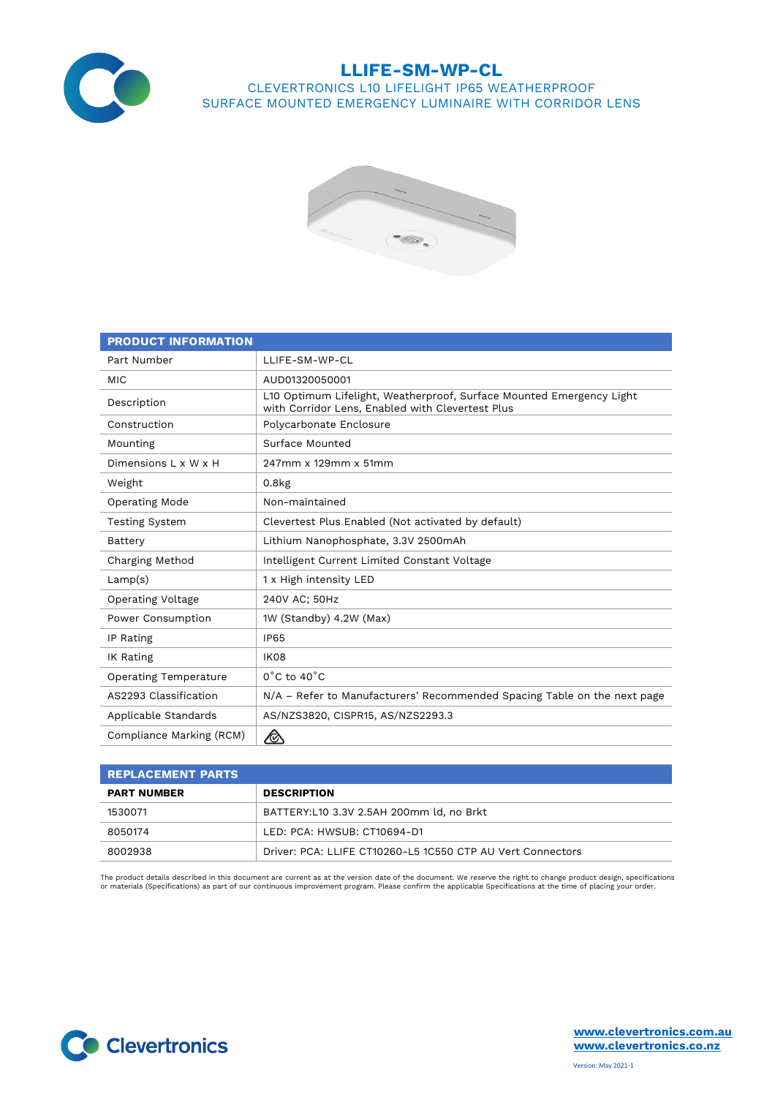

## **LLIFE-SM-WP-CL**

### CLEVERTRONICS L10 LIFELIGHT IP65 WEATHERPROOF SURFACE MOUNTED EMERGENCY LUMINAIRE WITH CORRIDOR LENS



| <b>PRODUCT INFORMATION</b>   |                                                                                                                          |  |  |  |  |  |  |
|------------------------------|--------------------------------------------------------------------------------------------------------------------------|--|--|--|--|--|--|
| Part Number                  | LLIFE-SM-WP-CL                                                                                                           |  |  |  |  |  |  |
| <b>MIC</b>                   | AUD01320050001                                                                                                           |  |  |  |  |  |  |
| Description                  | L10 Optimum Lifelight, Weatherproof, Surface Mounted Emergency Light<br>with Corridor Lens, Enabled with Clevertest Plus |  |  |  |  |  |  |
| Construction                 | Polycarbonate Enclosure                                                                                                  |  |  |  |  |  |  |
| Mounting                     | Surface Mounted                                                                                                          |  |  |  |  |  |  |
| Dimensions L x W x H         | 247mm x 129mm x 51mm                                                                                                     |  |  |  |  |  |  |
| Weight                       | $0.8k$ g                                                                                                                 |  |  |  |  |  |  |
| Operating Mode               | Non-maintained                                                                                                           |  |  |  |  |  |  |
| <b>Testing System</b>        | Clevertest Plus Enabled (Not activated by default)                                                                       |  |  |  |  |  |  |
| Battery                      | Lithium Nanophosphate, 3.3V 2500mAh                                                                                      |  |  |  |  |  |  |
| Charging Method              | Intelligent Current Limited Constant Voltage                                                                             |  |  |  |  |  |  |
| Lamp(s)                      | 1 x High intensity LED                                                                                                   |  |  |  |  |  |  |
| Operating Voltage            | 240V AC; 50Hz                                                                                                            |  |  |  |  |  |  |
| Power Consumption            | 1W (Standby) 4.2W (Max)                                                                                                  |  |  |  |  |  |  |
| IP Rating                    | <b>IP65</b>                                                                                                              |  |  |  |  |  |  |
| IK Rating                    | IK08                                                                                                                     |  |  |  |  |  |  |
| <b>Operating Temperature</b> | $0^{\circ}$ C to 40 $^{\circ}$ C                                                                                         |  |  |  |  |  |  |
| AS2293 Classification        | N/A – Refer to Manufacturers' Recommended Spacing Table on the next page                                                 |  |  |  |  |  |  |
| Applicable Standards         | AS/NZS3820, CISPR15, AS/NZS2293.3                                                                                        |  |  |  |  |  |  |
| Compliance Marking (RCM)     |                                                                                                                          |  |  |  |  |  |  |

| I REPLACEMENT PARTS |                                                            |  |  |  |  |  |
|---------------------|------------------------------------------------------------|--|--|--|--|--|
| <b>PART NUMBER</b>  | <b>DESCRIPTION</b>                                         |  |  |  |  |  |
| 1530071             | BATTERY:L10 3.3V 2.5AH 200mm ld, no Brkt                   |  |  |  |  |  |
| 8050174             | LED: PCA: HWSUB: CT10694-D1                                |  |  |  |  |  |
| 8002938             | Driver: PCA: LLIFE CT10260-L5 1C550 CTP AU Vert Connectors |  |  |  |  |  |

The product details described in this document are current as at the version date of the document. We reserve the right to change product design, specifications or materials (Specifications) as part of our continuous improvement program. Please confirm the applicable Specifications at the time of placing your order.